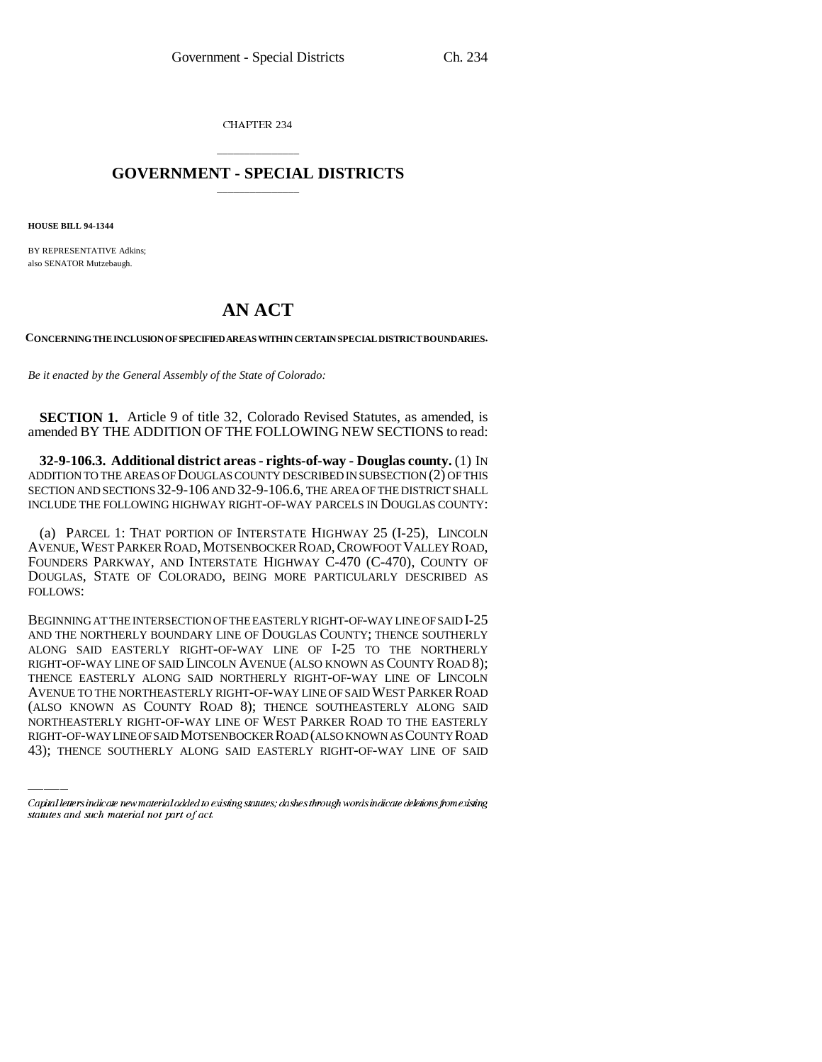CHAPTER 234

## \_\_\_\_\_\_\_\_\_\_\_\_\_\_\_ **GOVERNMENT - SPECIAL DISTRICTS** \_\_\_\_\_\_\_\_\_\_\_\_\_\_\_

**HOUSE BILL 94-1344**

BY REPRESENTATIVE Adkins; also SENATOR Mutzebaugh.

## **AN ACT**

**CONCERNING THE INCLUSION OF SPECIFIED AREAS WITHIN CERTAIN SPECIAL DISTRICT BOUNDARIES.**

*Be it enacted by the General Assembly of the State of Colorado:*

**SECTION 1.** Article 9 of title 32, Colorado Revised Statutes, as amended, is amended BY THE ADDITION OF THE FOLLOWING NEW SECTIONS to read:

**32-9-106.3. Additional district areas - rights-of-way - Douglas county.** (1) IN ADDITION TO THE AREAS OF DOUGLAS COUNTY DESCRIBED IN SUBSECTION (2) OF THIS SECTION AND SECTIONS 32-9-106 AND 32-9-106.6, THE AREA OF THE DISTRICT SHALL INCLUDE THE FOLLOWING HIGHWAY RIGHT-OF-WAY PARCELS IN DOUGLAS COUNTY:

(a) PARCEL 1: THAT PORTION OF INTERSTATE HIGHWAY 25 (I-25), LINCOLN AVENUE, WEST PARKER ROAD, MOTSENBOCKER ROAD,CROWFOOT VALLEY ROAD, FOUNDERS PARKWAY, AND INTERSTATE HIGHWAY C-470 (C-470), COUNTY OF DOUGLAS, STATE OF COLORADO, BEING MORE PARTICULARLY DESCRIBED AS FOLLOWS:

AVENUE TO THE NORTHEASTERLY RIGHT-OF-WAY LINE OF SAID WEST PARKER ROAD BEGINNING AT THE INTERSECTION OF THE EASTERLY RIGHT-OF-WAY LINE OF SAID I-25 AND THE NORTHERLY BOUNDARY LINE OF DOUGLAS COUNTY; THENCE SOUTHERLY ALONG SAID EASTERLY RIGHT-OF-WAY LINE OF I-25 TO THE NORTHERLY RIGHT-OF-WAY LINE OF SAID LINCOLN AVENUE (ALSO KNOWN AS COUNTY ROAD 8); THENCE EASTERLY ALONG SAID NORTHERLY RIGHT-OF-WAY LINE OF LINCOLN (ALSO KNOWN AS COUNTY ROAD 8); THENCE SOUTHEASTERLY ALONG SAID NORTHEASTERLY RIGHT-OF-WAY LINE OF WEST PARKER ROAD TO THE EASTERLY RIGHT-OF-WAY LINE OF SAID MOTSENBOCKER ROAD (ALSO KNOWN AS COUNTY ROAD 43); THENCE SOUTHERLY ALONG SAID EASTERLY RIGHT-OF-WAY LINE OF SAID

Capital letters indicate new material added to existing statutes; dashes through words indicate deletions from existing statutes and such material not part of act.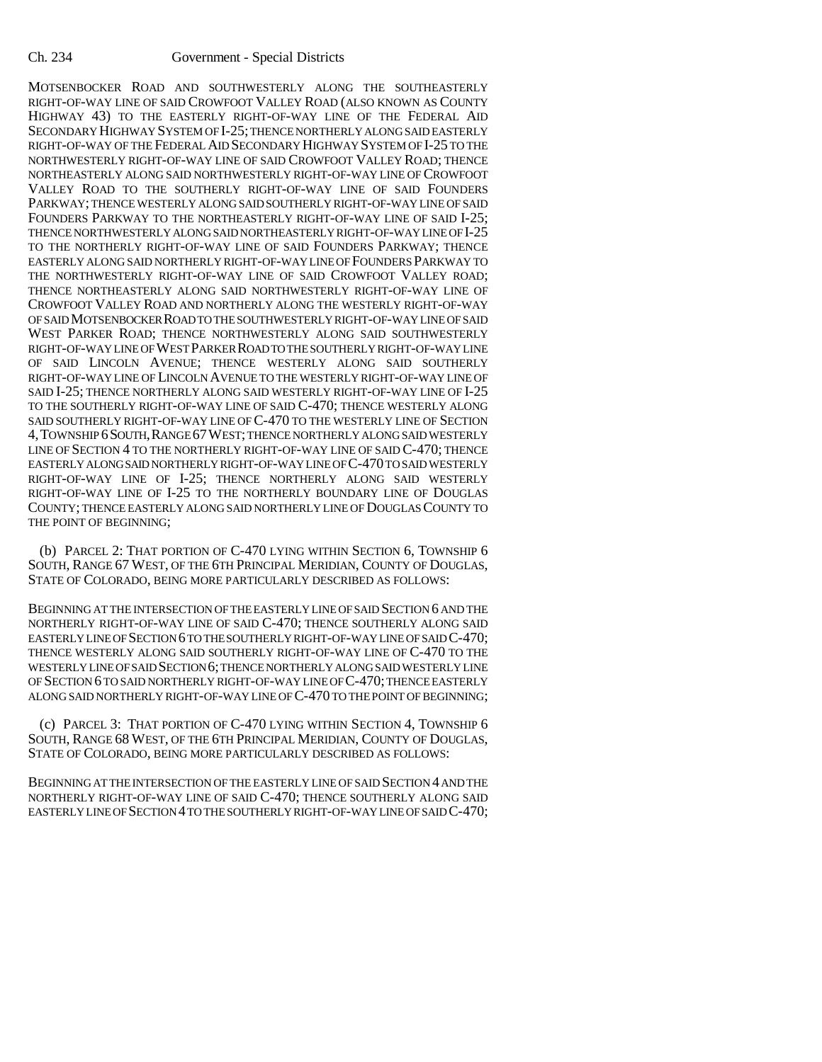MOTSENBOCKER ROAD AND SOUTHWESTERLY ALONG THE SOUTHEASTERLY RIGHT-OF-WAY LINE OF SAID CROWFOOT VALLEY ROAD (ALSO KNOWN AS COUNTY HIGHWAY 43) TO THE EASTERLY RIGHT-OF-WAY LINE OF THE FEDERAL AID SECONDARY HIGHWAY SYSTEM OF I-25; THENCE NORTHERLY ALONG SAID EASTERLY RIGHT-OF-WAY OF THE FEDERAL AID SECONDARY HIGHWAY SYSTEM OF I-25 TO THE NORTHWESTERLY RIGHT-OF-WAY LINE OF SAID CROWFOOT VALLEY ROAD; THENCE NORTHEASTERLY ALONG SAID NORTHWESTERLY RIGHT-OF-WAY LINE OF CROWFOOT VALLEY ROAD TO THE SOUTHERLY RIGHT-OF-WAY LINE OF SAID FOUNDERS PARKWAY; THENCE WESTERLY ALONG SAID SOUTHERLY RIGHT-OF-WAY LINE OF SAID FOUNDERS PARKWAY TO THE NORTHEASTERLY RIGHT-OF-WAY LINE OF SAID I-25; THENCE NORTHWESTERLY ALONG SAID NORTHEASTERLY RIGHT-OF-WAY LINE OF I-25 TO THE NORTHERLY RIGHT-OF-WAY LINE OF SAID FOUNDERS PARKWAY; THENCE EASTERLY ALONG SAID NORTHERLY RIGHT-OF-WAY LINE OF FOUNDERS PARKWAY TO THE NORTHWESTERLY RIGHT-OF-WAY LINE OF SAID CROWFOOT VALLEY ROAD; THENCE NORTHEASTERLY ALONG SAID NORTHWESTERLY RIGHT-OF-WAY LINE OF CROWFOOT VALLEY ROAD AND NORTHERLY ALONG THE WESTERLY RIGHT-OF-WAY OF SAID MOTSENBOCKER ROAD TO THE SOUTHWESTERLY RIGHT-OF-WAY LINE OF SAID WEST PARKER ROAD; THENCE NORTHWESTERLY ALONG SAID SOUTHWESTERLY RIGHT-OF-WAY LINE OF WEST PARKER ROAD TO THE SOUTHERLY RIGHT-OF-WAY LINE OF SAID LINCOLN AVENUE; THENCE WESTERLY ALONG SAID SOUTHERLY RIGHT-OF-WAY LINE OF LINCOLN AVENUE TO THE WESTERLY RIGHT-OF-WAY LINE OF SAID I-25; THENCE NORTHERLY ALONG SAID WESTERLY RIGHT-OF-WAY LINE OF I-25 TO THE SOUTHERLY RIGHT-OF-WAY LINE OF SAID C-470; THENCE WESTERLY ALONG SAID SOUTHERLY RIGHT-OF-WAY LINE OF C-470 TO THE WESTERLY LINE OF SECTION 4,TOWNSHIP 6SOUTH,RANGE 67WEST; THENCE NORTHERLY ALONG SAID WESTERLY LINE OF SECTION 4 TO THE NORTHERLY RIGHT-OF-WAY LINE OF SAID C-470; THENCE EASTERLY ALONG SAID NORTHERLY RIGHT-OF-WAY LINE OF C-470 TO SAID WESTERLY RIGHT-OF-WAY LINE OF I-25; THENCE NORTHERLY ALONG SAID WESTERLY RIGHT-OF-WAY LINE OF I-25 TO THE NORTHERLY BOUNDARY LINE OF DOUGLAS COUNTY; THENCE EASTERLY ALONG SAID NORTHERLY LINE OF DOUGLAS COUNTY TO THE POINT OF BEGINNING;

(b) PARCEL 2: THAT PORTION OF C-470 LYING WITHIN SECTION 6, TOWNSHIP 6 SOUTH, RANGE 67 WEST, OF THE 6TH PRINCIPAL MERIDIAN, COUNTY OF DOUGLAS, STATE OF COLORADO, BEING MORE PARTICULARLY DESCRIBED AS FOLLOWS:

BEGINNING AT THE INTERSECTION OF THE EASTERLY LINE OF SAID SECTION 6 AND THE NORTHERLY RIGHT-OF-WAY LINE OF SAID C-470; THENCE SOUTHERLY ALONG SAID EASTERLY LINE OF SECTION 6 TO THE SOUTHERLY RIGHT-OF-WAY LINE OF SAID C-470; THENCE WESTERLY ALONG SAID SOUTHERLY RIGHT-OF-WAY LINE OF C-470 TO THE WESTERLY LINE OF SAID SECTION 6; THENCE NORTHERLY ALONG SAID WESTERLY LINE OF SECTION 6 TO SAID NORTHERLY RIGHT-OF-WAY LINE OF C-470; THENCE EASTERLY ALONG SAID NORTHERLY RIGHT-OF-WAY LINE OF C-470 TO THE POINT OF BEGINNING;

(c) PARCEL 3: THAT PORTION OF C-470 LYING WITHIN SECTION 4, TOWNSHIP 6 SOUTH, RANGE 68 WEST, OF THE 6TH PRINCIPAL MERIDIAN, COUNTY OF DOUGLAS, STATE OF COLORADO, BEING MORE PARTICULARLY DESCRIBED AS FOLLOWS:

BEGINNING AT THE INTERSECTION OF THE EASTERLY LINE OF SAID SECTION 4 AND THE NORTHERLY RIGHT-OF-WAY LINE OF SAID C-470; THENCE SOUTHERLY ALONG SAID EASTERLY LINE OF SECTION 4 TO THE SOUTHERLY RIGHT-OF-WAY LINE OF SAID C-470;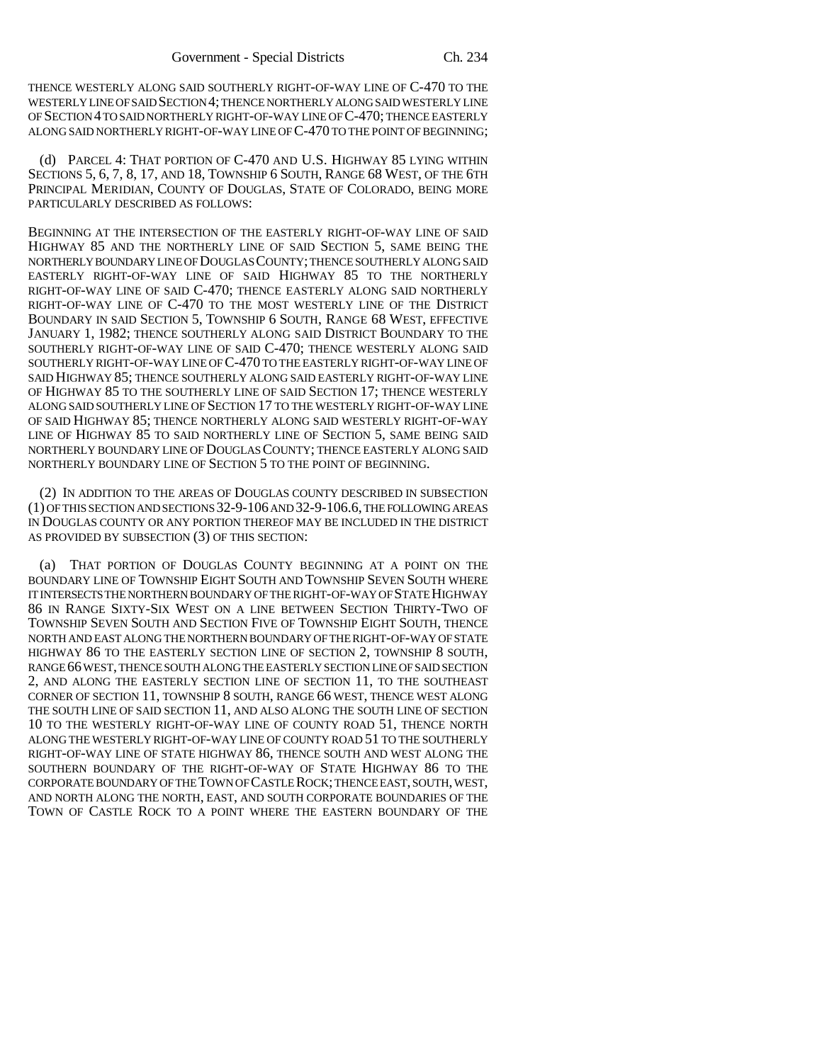THENCE WESTERLY ALONG SAID SOUTHERLY RIGHT-OF-WAY LINE OF C-470 TO THE WESTERLY LINE OF SAID SECTION 4; THENCE NORTHERLY ALONG SAID WESTERLY LINE OF SECTION 4 TO SAID NORTHERLY RIGHT-OF-WAY LINE OF C-470; THENCE EASTERLY ALONG SAID NORTHERLY RIGHT-OF-WAY LINE OF C-470 TO THE POINT OF BEGINNING;

(d) PARCEL 4: THAT PORTION OF C-470 AND U.S. HIGHWAY 85 LYING WITHIN SECTIONS 5, 6, 7, 8, 17, AND 18, TOWNSHIP 6 SOUTH, RANGE 68 WEST, OF THE 6TH PRINCIPAL MERIDIAN, COUNTY OF DOUGLAS, STATE OF COLORADO, BEING MORE PARTICULARLY DESCRIBED AS FOLLOWS:

BEGINNING AT THE INTERSECTION OF THE EASTERLY RIGHT-OF-WAY LINE OF SAID HIGHWAY 85 AND THE NORTHERLY LINE OF SAID SECTION 5, SAME BEING THE NORTHERLY BOUNDARY LINE OF DOUGLAS COUNTY; THENCE SOUTHERLY ALONG SAID EASTERLY RIGHT-OF-WAY LINE OF SAID HIGHWAY 85 TO THE NORTHERLY RIGHT-OF-WAY LINE OF SAID C-470; THENCE EASTERLY ALONG SAID NORTHERLY RIGHT-OF-WAY LINE OF C-470 TO THE MOST WESTERLY LINE OF THE DISTRICT BOUNDARY IN SAID SECTION 5, TOWNSHIP 6 SOUTH, RANGE 68 WEST, EFFECTIVE JANUARY 1, 1982; THENCE SOUTHERLY ALONG SAID DISTRICT BOUNDARY TO THE SOUTHERLY RIGHT-OF-WAY LINE OF SAID C-470; THENCE WESTERLY ALONG SAID SOUTHERLY RIGHT-OF-WAY LINE OF C-470 TO THE EASTERLY RIGHT-OF-WAY LINE OF SAID HIGHWAY 85; THENCE SOUTHERLY ALONG SAID EASTERLY RIGHT-OF-WAY LINE OF HIGHWAY 85 TO THE SOUTHERLY LINE OF SAID SECTION 17; THENCE WESTERLY ALONG SAID SOUTHERLY LINE OF SECTION 17 TO THE WESTERLY RIGHT-OF-WAY LINE OF SAID HIGHWAY 85; THENCE NORTHERLY ALONG SAID WESTERLY RIGHT-OF-WAY LINE OF HIGHWAY 85 TO SAID NORTHERLY LINE OF SECTION 5, SAME BEING SAID NORTHERLY BOUNDARY LINE OF DOUGLAS COUNTY; THENCE EASTERLY ALONG SAID NORTHERLY BOUNDARY LINE OF SECTION 5 TO THE POINT OF BEGINNING.

(2) IN ADDITION TO THE AREAS OF DOUGLAS COUNTY DESCRIBED IN SUBSECTION (1) OF THIS SECTION AND SECTIONS 32-9-106 AND 32-9-106.6, THE FOLLOWING AREAS IN DOUGLAS COUNTY OR ANY PORTION THEREOF MAY BE INCLUDED IN THE DISTRICT AS PROVIDED BY SUBSECTION (3) OF THIS SECTION:

(a) THAT PORTION OF DOUGLAS COUNTY BEGINNING AT A POINT ON THE BOUNDARY LINE OF TOWNSHIP EIGHT SOUTH AND TOWNSHIP SEVEN SOUTH WHERE IT INTERSECTS THE NORTHERN BOUNDARY OF THE RIGHT-OF-WAY OF STATE HIGHWAY 86 IN RANGE SIXTY-SIX WEST ON A LINE BETWEEN SECTION THIRTY-TWO OF TOWNSHIP SEVEN SOUTH AND SECTION FIVE OF TOWNSHIP EIGHT SOUTH, THENCE NORTH AND EAST ALONG THE NORTHERN BOUNDARY OF THE RIGHT-OF-WAY OF STATE HIGHWAY 86 TO THE EASTERLY SECTION LINE OF SECTION 2, TOWNSHIP 8 SOUTH, RANGE 66 WEST, THENCE SOUTH ALONG THE EASTERLY SECTION LINE OF SAID SECTION 2, AND ALONG THE EASTERLY SECTION LINE OF SECTION 11, TO THE SOUTHEAST CORNER OF SECTION 11, TOWNSHIP 8 SOUTH, RANGE 66 WEST, THENCE WEST ALONG THE SOUTH LINE OF SAID SECTION 11, AND ALSO ALONG THE SOUTH LINE OF SECTION 10 TO THE WESTERLY RIGHT-OF-WAY LINE OF COUNTY ROAD 51, THENCE NORTH ALONG THE WESTERLY RIGHT-OF-WAY LINE OF COUNTY ROAD 51 TO THE SOUTHERLY RIGHT-OF-WAY LINE OF STATE HIGHWAY 86, THENCE SOUTH AND WEST ALONG THE SOUTHERN BOUNDARY OF THE RIGHT-OF-WAY OF STATE HIGHWAY 86 TO THE CORPORATE BOUNDARY OF THE TOWN OF CASTLE ROCK; THENCE EAST, SOUTH, WEST, AND NORTH ALONG THE NORTH, EAST, AND SOUTH CORPORATE BOUNDARIES OF THE TOWN OF CASTLE ROCK TO A POINT WHERE THE EASTERN BOUNDARY OF THE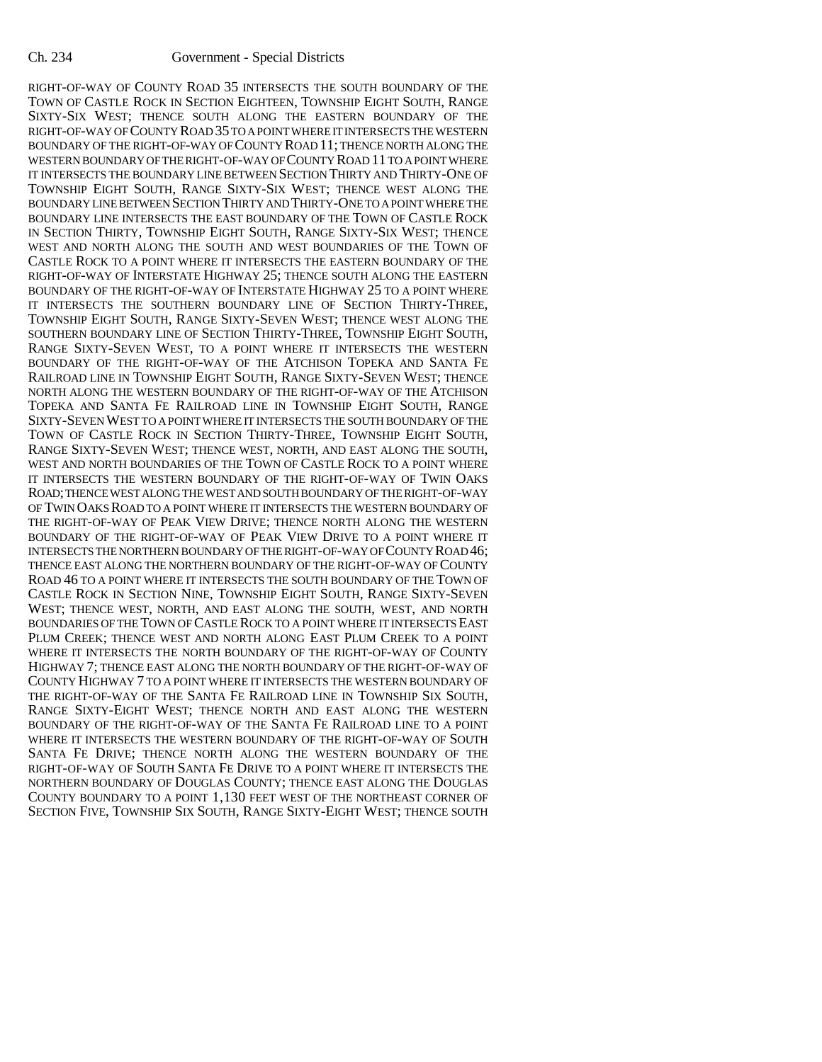RIGHT-OF-WAY OF COUNTY ROAD 35 INTERSECTS THE SOUTH BOUNDARY OF THE TOWN OF CASTLE ROCK IN SECTION EIGHTEEN, TOWNSHIP EIGHT SOUTH, RANGE SIXTY-SIX WEST; THENCE SOUTH ALONG THE EASTERN BOUNDARY OF THE RIGHT-OF-WAY OF COUNTY ROAD 35 TO A POINT WHERE IT INTERSECTS THE WESTERN BOUNDARY OF THE RIGHT-OF-WAY OF COUNTY ROAD 11; THENCE NORTH ALONG THE WESTERN BOUNDARY OF THE RIGHT-OF-WAY OF COUNTY ROAD 11 TO A POINT WHERE IT INTERSECTS THE BOUNDARY LINE BETWEEN SECTION THIRTY AND THIRTY-ONE OF TOWNSHIP EIGHT SOUTH, RANGE SIXTY-SIX WEST; THENCE WEST ALONG THE BOUNDARY LINE BETWEEN SECTION THIRTY AND THIRTY-ONE TO A POINT WHERE THE BOUNDARY LINE INTERSECTS THE EAST BOUNDARY OF THE TOWN OF CASTLE ROCK IN SECTION THIRTY, TOWNSHIP EIGHT SOUTH, RANGE SIXTY-SIX WEST; THENCE WEST AND NORTH ALONG THE SOUTH AND WEST BOUNDARIES OF THE TOWN OF CASTLE ROCK TO A POINT WHERE IT INTERSECTS THE EASTERN BOUNDARY OF THE RIGHT-OF-WAY OF INTERSTATE HIGHWAY 25; THENCE SOUTH ALONG THE EASTERN BOUNDARY OF THE RIGHT-OF-WAY OF INTERSTATE HIGHWAY 25 TO A POINT WHERE IT INTERSECTS THE SOUTHERN BOUNDARY LINE OF SECTION THIRTY-THREE, TOWNSHIP EIGHT SOUTH, RANGE SIXTY-SEVEN WEST; THENCE WEST ALONG THE SOUTHERN BOUNDARY LINE OF SECTION THIRTY-THREE, TOWNSHIP EIGHT SOUTH, RANGE SIXTY-SEVEN WEST, TO A POINT WHERE IT INTERSECTS THE WESTERN BOUNDARY OF THE RIGHT-OF-WAY OF THE ATCHISON TOPEKA AND SANTA FE RAILROAD LINE IN TOWNSHIP EIGHT SOUTH, RANGE SIXTY-SEVEN WEST; THENCE NORTH ALONG THE WESTERN BOUNDARY OF THE RIGHT-OF-WAY OF THE ATCHISON TOPEKA AND SANTA FE RAILROAD LINE IN TOWNSHIP EIGHT SOUTH, RANGE SIXTY-SEVEN WEST TO A POINT WHERE IT INTERSECTS THE SOUTH BOUNDARY OF THE TOWN OF CASTLE ROCK IN SECTION THIRTY-THREE, TOWNSHIP EIGHT SOUTH, RANGE SIXTY-SEVEN WEST; THENCE WEST, NORTH, AND EAST ALONG THE SOUTH, WEST AND NORTH BOUNDARIES OF THE TOWN OF CASTLE ROCK TO A POINT WHERE IT INTERSECTS THE WESTERN BOUNDARY OF THE RIGHT-OF-WAY OF TWIN OAKS ROAD; THENCE WEST ALONG THE WEST AND SOUTH BOUNDARY OF THE RIGHT-OF-WAY OF TWIN OAKS ROAD TO A POINT WHERE IT INTERSECTS THE WESTERN BOUNDARY OF THE RIGHT-OF-WAY OF PEAK VIEW DRIVE; THENCE NORTH ALONG THE WESTERN BOUNDARY OF THE RIGHT-OF-WAY OF PEAK VIEW DRIVE TO A POINT WHERE IT INTERSECTS THE NORTHERN BOUNDARY OF THE RIGHT-OF-WAY OF COUNTY ROAD 46; THENCE EAST ALONG THE NORTHERN BOUNDARY OF THE RIGHT-OF-WAY OF COUNTY ROAD 46 TO A POINT WHERE IT INTERSECTS THE SOUTH BOUNDARY OF THE TOWN OF CASTLE ROCK IN SECTION NINE, TOWNSHIP EIGHT SOUTH, RANGE SIXTY-SEVEN WEST; THENCE WEST, NORTH, AND EAST ALONG THE SOUTH, WEST, AND NORTH BOUNDARIES OF THE TOWN OF CASTLE ROCK TO A POINT WHERE IT INTERSECTS EAST PLUM CREEK; THENCE WEST AND NORTH ALONG EAST PLUM CREEK TO A POINT WHERE IT INTERSECTS THE NORTH BOUNDARY OF THE RIGHT-OF-WAY OF COUNTY HIGHWAY 7; THENCE EAST ALONG THE NORTH BOUNDARY OF THE RIGHT-OF-WAY OF COUNTY HIGHWAY 7 TO A POINT WHERE IT INTERSECTS THE WESTERN BOUNDARY OF THE RIGHT-OF-WAY OF THE SANTA FE RAILROAD LINE IN TOWNSHIP SIX SOUTH, RANGE SIXTY-EIGHT WEST; THENCE NORTH AND EAST ALONG THE WESTERN BOUNDARY OF THE RIGHT-OF-WAY OF THE SANTA FE RAILROAD LINE TO A POINT WHERE IT INTERSECTS THE WESTERN BOUNDARY OF THE RIGHT-OF-WAY OF SOUTH SANTA FE DRIVE; THENCE NORTH ALONG THE WESTERN BOUNDARY OF THE RIGHT-OF-WAY OF SOUTH SANTA FE DRIVE TO A POINT WHERE IT INTERSECTS THE NORTHERN BOUNDARY OF DOUGLAS COUNTY; THENCE EAST ALONG THE DOUGLAS COUNTY BOUNDARY TO A POINT 1,130 FEET WEST OF THE NORTHEAST CORNER OF SECTION FIVE, TOWNSHIP SIX SOUTH, RANGE SIXTY-EIGHT WEST; THENCE SOUTH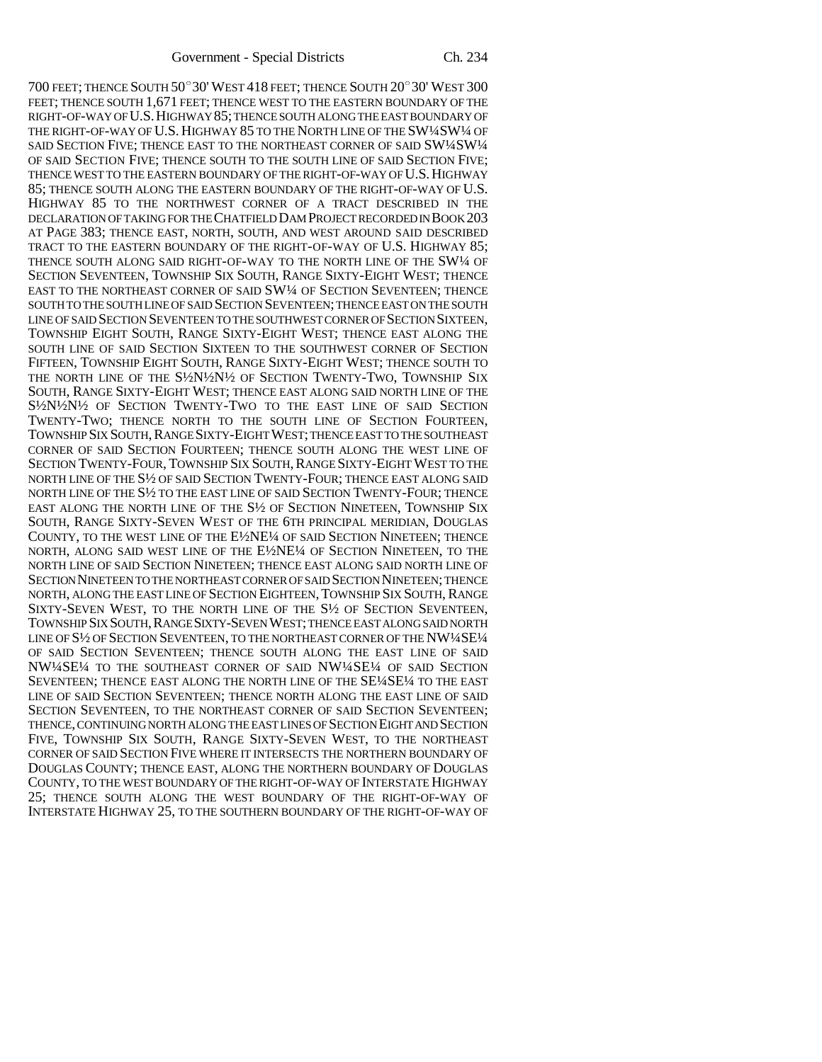700 FEET; THENCE SOUTH 50°30' WEST 418 FEET; THENCE SOUTH 20°30' WEST 300 FEET; THENCE SOUTH 1,671 FEET; THENCE WEST TO THE EASTERN BOUNDARY OF THE RIGHT-OF-WAY OF U.S.HIGHWAY 85; THENCE SOUTH ALONG THE EAST BOUNDARY OF THE RIGHT-OF-WAY OF U.S. HIGHWAY 85 TO THE NORTH LINE OF THE SW14SW14 OF SAID SECTION FIVE; THENCE EAST TO THE NORTHEAST CORNER OF SAID SW1/4SW1/4 OF SAID SECTION FIVE; THENCE SOUTH TO THE SOUTH LINE OF SAID SECTION FIVE; THENCE WEST TO THE EASTERN BOUNDARY OF THE RIGHT-OF-WAY OF U.S.HIGHWAY 85; THENCE SOUTH ALONG THE EASTERN BOUNDARY OF THE RIGHT-OF-WAY OF U.S. HIGHWAY 85 TO THE NORTHWEST CORNER OF A TRACT DESCRIBED IN THE DECLARATION OF TAKING FOR THE CHATFIELD DAM PROJECT RECORDED IN BOOK 203 AT PAGE 383; THENCE EAST, NORTH, SOUTH, AND WEST AROUND SAID DESCRIBED TRACT TO THE EASTERN BOUNDARY OF THE RIGHT-OF-WAY OF U.S. HIGHWAY 85; THENCE SOUTH ALONG SAID RIGHT-OF-WAY TO THE NORTH LINE OF THE SW1/4 OF SECTION SEVENTEEN, TOWNSHIP SIX SOUTH, RANGE SIXTY-EIGHT WEST; THENCE EAST TO THE NORTHEAST CORNER OF SAID SW<sup>1</sup>/4 OF SECTION SEVENTEEN; THENCE SOUTH TO THE SOUTH LINE OF SAID SECTION SEVENTEEN; THENCE EAST ON THE SOUTH LINE OF SAID SECTION SEVENTEEN TO THE SOUTHWEST CORNER OF SECTION SIXTEEN, TOWNSHIP EIGHT SOUTH, RANGE SIXTY-EIGHT WEST; THENCE EAST ALONG THE SOUTH LINE OF SAID SECTION SIXTEEN TO THE SOUTHWEST CORNER OF SECTION FIFTEEN, TOWNSHIP EIGHT SOUTH, RANGE SIXTY-EIGHT WEST; THENCE SOUTH TO THE NORTH LINE OF THE S½N½N½ OF SECTION TWENTY-TWO, TOWNSHIP SIX SOUTH, RANGE SIXTY-EIGHT WEST; THENCE EAST ALONG SAID NORTH LINE OF THE S½N½N½ OF SECTION TWENTY-TWO TO THE EAST LINE OF SAID SECTION TWENTY-TWO; THENCE NORTH TO THE SOUTH LINE OF SECTION FOURTEEN, TOWNSHIP SIX SOUTH, RANGE SIXTY-EIGHT WEST; THENCE EAST TO THE SOUTHEAST CORNER OF SAID SECTION FOURTEEN; THENCE SOUTH ALONG THE WEST LINE OF SECTION TWENTY-FOUR, TOWNSHIP SIX SOUTH, RANGE SIXTY-EIGHT WEST TO THE NORTH LINE OF THE S½ OF SAID SECTION TWENTY-FOUR; THENCE EAST ALONG SAID NORTH LINE OF THE S½ TO THE EAST LINE OF SAID SECTION TWENTY-FOUR; THENCE EAST ALONG THE NORTH LINE OF THE S½ OF SECTION NINETEEN, TOWNSHIP SIX SOUTH, RANGE SIXTY-SEVEN WEST OF THE 6TH PRINCIPAL MERIDIAN, DOUGLAS COUNTY, TO THE WEST LINE OF THE E½NE¼ OF SAID SECTION NINETEEN; THENCE NORTH, ALONG SAID WEST LINE OF THE E½NE¼ OF SECTION NINETEEN, TO THE NORTH LINE OF SAID SECTION NINETEEN; THENCE EAST ALONG SAID NORTH LINE OF SECTION NINETEEN TO THE NORTHEAST CORNER OF SAID SECTION NINETEEN; THENCE NORTH, ALONG THE EAST LINE OF SECTION EIGHTEEN, TOWNSHIP SIX SOUTH, RANGE SIXTY-SEVEN WEST, TO THE NORTH LINE OF THE S½ OF SECTION SEVENTEEN, TOWNSHIP SIX SOUTH,RANGE SIXTY-SEVEN WEST; THENCE EAST ALONG SAID NORTH LINE OF S<sup>1</sup>/2 OF SECTION SEVENTEEN, TO THE NORTHEAST CORNER OF THE NW<sup>1</sup>/4SE<sup>1</sup>/4 OF SAID SECTION SEVENTEEN; THENCE SOUTH ALONG THE EAST LINE OF SAID NW¼SE¼ TO THE SOUTHEAST CORNER OF SAID NW¼SE¼ OF SAID SECTION SEVENTEEN; THENCE EAST ALONG THE NORTH LINE OF THE SE¼SE¼ TO THE EAST LINE OF SAID SECTION SEVENTEEN; THENCE NORTH ALONG THE EAST LINE OF SAID SECTION SEVENTEEN, TO THE NORTHEAST CORNER OF SAID SECTION SEVENTEEN; THENCE, CONTINUING NORTH ALONG THE EAST LINES OF SECTION EIGHT AND SECTION FIVE, TOWNSHIP SIX SOUTH, RANGE SIXTY-SEVEN WEST, TO THE NORTHEAST CORNER OF SAID SECTION FIVE WHERE IT INTERSECTS THE NORTHERN BOUNDARY OF DOUGLAS COUNTY; THENCE EAST, ALONG THE NORTHERN BOUNDARY OF DOUGLAS COUNTY, TO THE WEST BOUNDARY OF THE RIGHT-OF-WAY OF INTERSTATE HIGHWAY 25; THENCE SOUTH ALONG THE WEST BOUNDARY OF THE RIGHT-OF-WAY OF INTERSTATE HIGHWAY 25, TO THE SOUTHERN BOUNDARY OF THE RIGHT-OF-WAY OF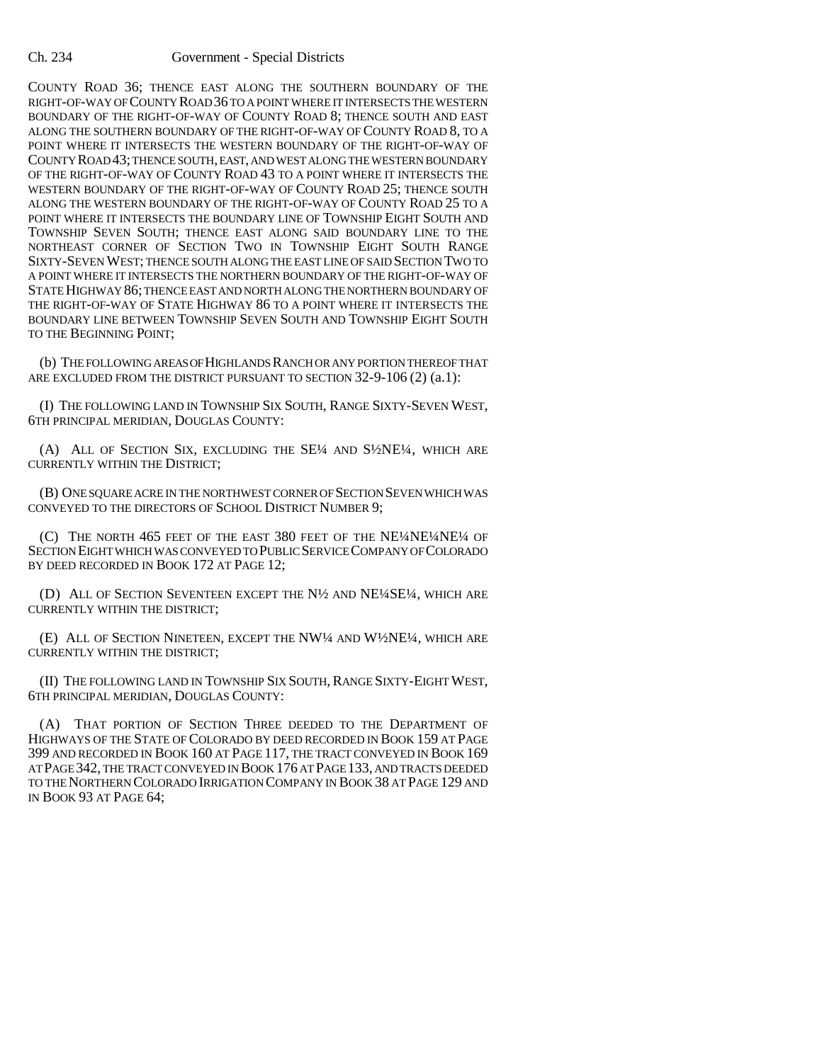## Ch. 234 Government - Special Districts

COUNTY ROAD 36; THENCE EAST ALONG THE SOUTHERN BOUNDARY OF THE RIGHT-OF-WAY OF COUNTY ROAD 36 TO A POINT WHERE IT INTERSECTS THE WESTERN BOUNDARY OF THE RIGHT-OF-WAY OF COUNTY ROAD 8; THENCE SOUTH AND EAST ALONG THE SOUTHERN BOUNDARY OF THE RIGHT-OF-WAY OF COUNTY ROAD 8, TO A POINT WHERE IT INTERSECTS THE WESTERN BOUNDARY OF THE RIGHT-OF-WAY OF COUNTY ROAD 43; THENCE SOUTH, EAST, AND WEST ALONG THE WESTERN BOUNDARY OF THE RIGHT-OF-WAY OF COUNTY ROAD 43 TO A POINT WHERE IT INTERSECTS THE WESTERN BOUNDARY OF THE RIGHT-OF-WAY OF COUNTY ROAD 25; THENCE SOUTH ALONG THE WESTERN BOUNDARY OF THE RIGHT-OF-WAY OF COUNTY ROAD 25 TO A POINT WHERE IT INTERSECTS THE BOUNDARY LINE OF TOWNSHIP EIGHT SOUTH AND TOWNSHIP SEVEN SOUTH; THENCE EAST ALONG SAID BOUNDARY LINE TO THE NORTHEAST CORNER OF SECTION TWO IN TOWNSHIP EIGHT SOUTH RANGE SIXTY-SEVEN WEST; THENCE SOUTH ALONG THE EAST LINE OF SAID SECTION TWO TO A POINT WHERE IT INTERSECTS THE NORTHERN BOUNDARY OF THE RIGHT-OF-WAY OF STATE HIGHWAY 86; THENCE EAST AND NORTH ALONG THE NORTHERN BOUNDARY OF THE RIGHT-OF-WAY OF STATE HIGHWAY 86 TO A POINT WHERE IT INTERSECTS THE BOUNDARY LINE BETWEEN TOWNSHIP SEVEN SOUTH AND TOWNSHIP EIGHT SOUTH TO THE BEGINNING POINT;

(b) THE FOLLOWING AREAS OF HIGHLANDS RANCH OR ANY PORTION THEREOF THAT ARE EXCLUDED FROM THE DISTRICT PURSUANT TO SECTION 32-9-106 (2) (a.1):

(I) THE FOLLOWING LAND IN TOWNSHIP SIX SOUTH, RANGE SIXTY-SEVEN WEST, 6TH PRINCIPAL MERIDIAN, DOUGLAS COUNTY:

(A) ALL OF SECTION SIX, EXCLUDING THE SE¼ AND S½NE¼, WHICH ARE CURRENTLY WITHIN THE DISTRICT;

(B) ONE SQUARE ACRE IN THE NORTHWEST CORNER OF SECTION SEVEN WHICH WAS CONVEYED TO THE DIRECTORS OF SCHOOL DISTRICT NUMBER 9;

(C) THE NORTH 465 FEET OF THE EAST 380 FEET OF THE NE¼NE¼NE¼ OF SECTION EIGHT WHICH WAS CONVEYED TO PUBLIC SERVICE COMPANY OF COLORADO BY DEED RECORDED IN BOOK 172 AT PAGE 12;

(D) ALL OF SECTION SEVENTEEN EXCEPT THE N½ AND NE¼SE¼, WHICH ARE CURRENTLY WITHIN THE DISTRICT;

(E) ALL OF SECTION NINETEEN, EXCEPT THE NW¼ AND W½NE¼, WHICH ARE CURRENTLY WITHIN THE DISTRICT;

(II) THE FOLLOWING LAND IN TOWNSHIP SIX SOUTH, RANGE SIXTY-EIGHT WEST, 6TH PRINCIPAL MERIDIAN, DOUGLAS COUNTY:

(A) THAT PORTION OF SECTION THREE DEEDED TO THE DEPARTMENT OF HIGHWAYS OF THE STATE OF COLORADO BY DEED RECORDED IN BOOK 159 AT PAGE 399 AND RECORDED IN BOOK 160 AT PAGE 117, THE TRACT CONVEYED IN BOOK 169 AT PAGE 342, THE TRACT CONVEYED IN BOOK 176 AT PAGE 133, AND TRACTS DEEDED TO THE NORTHERN COLORADO IRRIGATION COMPANY IN BOOK 38 AT PAGE 129 AND IN BOOK 93 AT PAGE 64;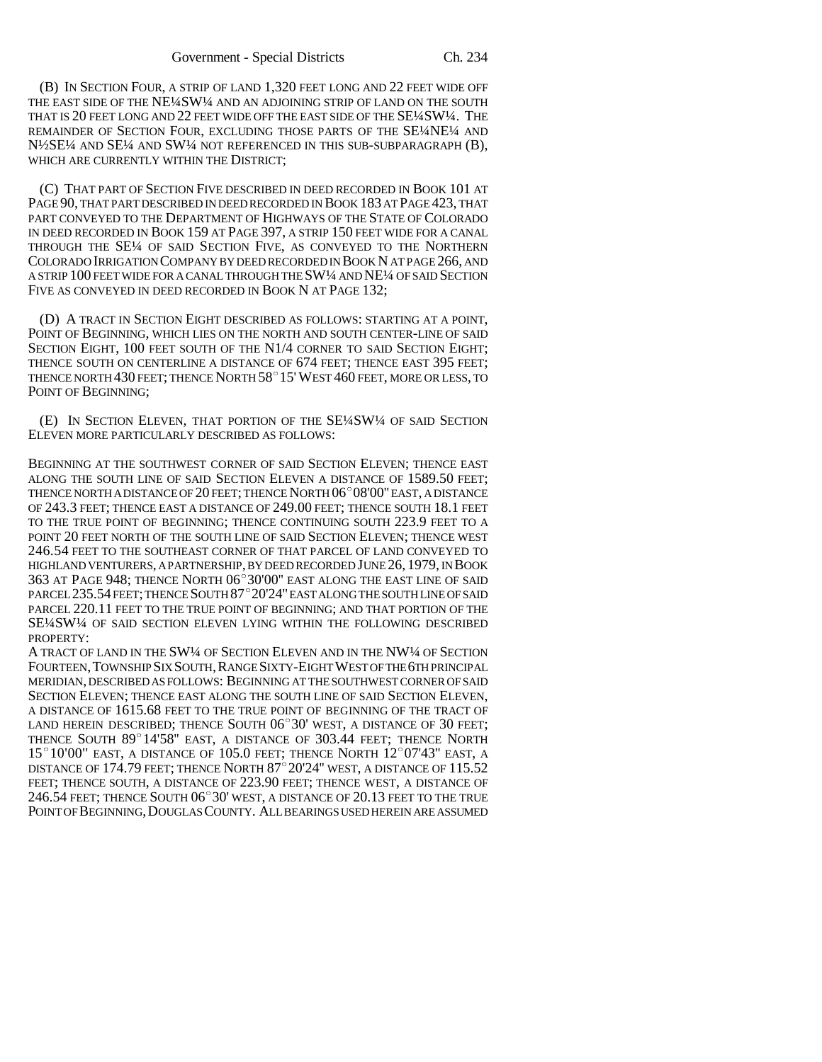(B) IN SECTION FOUR, A STRIP OF LAND 1,320 FEET LONG AND 22 FEET WIDE OFF THE EAST SIDE OF THE NE¼SW¼ AND AN ADJOINING STRIP OF LAND ON THE SOUTH THAT IS 20 FEET LONG AND 22 FEET WIDE OFF THE EAST SIDE OF THE SE1/4SW1/4. THE REMAINDER OF SECTION FOUR, EXCLUDING THOSE PARTS OF THE SE¼NE¼ AND N½SE¼ AND SE¼ AND SW¼ NOT REFERENCED IN THIS SUB-SUBPARAGRAPH (B), WHICH ARE CURRENTLY WITHIN THE DISTRICT;

(C) THAT PART OF SECTION FIVE DESCRIBED IN DEED RECORDED IN BOOK 101 AT PAGE 90, THAT PART DESCRIBED IN DEED RECORDED IN BOOK 183 AT PAGE 423, THAT PART CONVEYED TO THE DEPARTMENT OF HIGHWAYS OF THE STATE OF COLORADO IN DEED RECORDED IN BOOK 159 AT PAGE 397, A STRIP 150 FEET WIDE FOR A CANAL THROUGH THE SE¼ OF SAID SECTION FIVE, AS CONVEYED TO THE NORTHERN COLORADO IRRIGATION COMPANY BY DEED RECORDED IN BOOK N AT PAGE 266, AND A STRIP 100 FEET WIDE FOR A CANAL THROUGH THE SW¼ AND NE¼ OF SAID SECTION FIVE AS CONVEYED IN DEED RECORDED IN BOOK N AT PAGE 132:

(D) A TRACT IN SECTION EIGHT DESCRIBED AS FOLLOWS: STARTING AT A POINT, POINT OF BEGINNING, WHICH LIES ON THE NORTH AND SOUTH CENTER-LINE OF SAID SECTION EIGHT, 100 FEET SOUTH OF THE N1/4 CORNER TO SAID SECTION EIGHT; THENCE SOUTH ON CENTERLINE A DISTANCE OF 674 FEET; THENCE EAST 395 FEET; SECTION EIGHT, 100 FEET SOUTH OF THE N1/4 CORNER TO SAID SECTION EIGHT;<br>thence south on centerline a distance of 674 feet; thence east 395 feet;<br>thence north 430 feet; thence North 58°15' West 460 feet, more or less, to POINT OF BEGINNING;

(E) IN SECTION ELEVEN, THAT PORTION OF THE SE¼SW¼ OF SAID SECTION ELEVEN MORE PARTICULARLY DESCRIBED AS FOLLOWS:

BEGINNING AT THE SOUTHWEST CORNER OF SAID SECTION ELEVEN; THENCE EAST ALONG THE SOUTH LINE OF SAID SECTION ELEVEN A DISTANCE OF 1589.50 FEET; THENCE NORTH A DISTANCE OF  $20$  FEET; THENCE NORTH  $06^{\circ}$   $08'00''$  EAST, A DISTANCE OF 243.3 FEET; THENCE EAST A DISTANCE OF 249.00 FEET; THENCE SOUTH 18.1 FEET TO THE TRUE POINT OF BEGINNING; THENCE CONTINUING SOUTH 223.9 FEET TO A POINT 20 FEET NORTH OF THE SOUTH LINE OF SAID SECTION ELEVEN; THENCE WEST 246.54 FEET TO THE SOUTHEAST CORNER OF THAT PARCEL OF LAND CONVEYED TO HIGHLAND VENTURERS, A PARTNERSHIP, BY DEED RECORDED JUNE 26, 1979, IN BOOK 246.54 feet to the southeast corner of that parcel of land conveyed to<br>highland venturers, apartnership, by deed recorded June 26, 1979, in Book<br>363 at Page 948; thence North 06°30'00" east along the east line of said HIGHLAND VENTURERS, A PARTNERSHIP, BY DEED RECORDED JUNE 26, 1979, IN BOOK<br>363 AT PAGE 948; THENCE NORTH 06°30'00'' EAST ALONG THE EAST LINE OF SAID<br>PARCEL 235.54 FEET; THENCE SOUTH 87°20'24'' EAST ALONG THE SOUTH LINE OF PARCEL 220.11 FEET TO THE TRUE POINT OF BEGINNING; AND THAT PORTION OF THE SE¼SW¼ OF SAID SECTION ELEVEN LYING WITHIN THE FOLLOWING DESCRIBED PROPERTY:

A TRACT OF LAND IN THE SW¼ OF SECTION ELEVEN AND IN THE NW¼ OF SECTION FOURTEEN,TOWNSHIP SIX SOUTH,RANGE SIXTY-EIGHT WEST OF THE 6TH PRINCIPAL MERIDIAN, DESCRIBED AS FOLLOWS: BEGINNING AT THE SOUTHWEST CORNER OF SAID SECTION ELEVEN; THENCE EAST ALONG THE SOUTH LINE OF SAID SECTION ELEVEN, A DISTANCE OF 1615.68 FEET TO THE TRUE POINT OF BEGINNING OF THE TRACT OF SECTION ELEVEN; THENCE EAST ALONG THE SOUTH LINE OF SAID SECTION ELEVEN,<br>A DISTANCE OF 1615.68 FEET TO THE TRUE POINT OF BEGINNING OF THE TRACT OF<br>LAND HEREIN DESCRIBED; THENCE SOUTH 06°30' WEST, A DISTANCE OF 30 FEET; A DISTANCE OF 1615.68 FEET TO THE TRUE POINT OF BEGINNING OF THE TRACT OF<br>LAND HEREIN DESCRIBED; THENCE SOUTH 06°30' WEST, A DISTANCE OF 30 FEET;<br>THENCE SOUTH 89°14'58" EAST, A DISTANCE OF 303.44 FEET; THENCE NORTH LAND HEREIN DESCRIBED; THENCE SOUTH 06°30' WEST, A DISTANCE OF 30 FEET;<br>THENCE SOUTH 89°14'58" EAST, A DISTANCE OF 303.44 FEET; THENCE NORTH<br>15°10'00'' EAST, A DISTANCE OF 105.0 FEET; THENCE NORTH 12°07'43" EAST, A thence South 89°14'58" east, a distance of 303.44 feet; thence North<br>15°10'00'' east, a distance of 105.0 feet; thence North 12°07'43" east, a<br>distance of 174.79 feet; thence North 87°20'24" west, a distance of 115.52 FEET; THENCE SOUTH, A DISTANCE OF 223.90 FEET; THENCE WEST, A DISTANCE OF DISTANCE OF 174.79 FEET; THENCE NORTH  $87^{\circ}20'24''$  west, a distance of 115.52<br>FEET; THENCE SOUTH, A DISTANCE OF 223.90 FEET; THENCE WEST, A DISTANCE OF 246.54 FEET; THENCE SOUTH  $06^{\circ}30'$  west, a distance of 20.13 FEE POINT OF BEGINNING, DOUGLAS COUNTY. ALL BEARINGS USED HEREIN ARE ASSUMED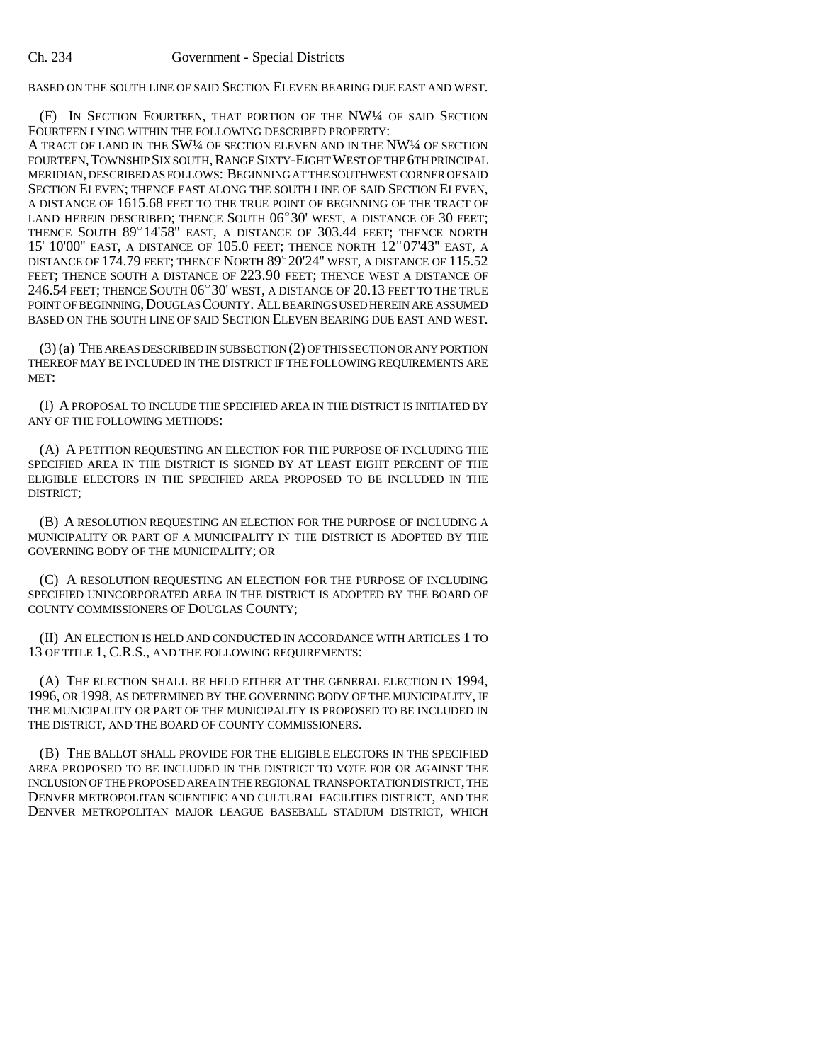BASED ON THE SOUTH LINE OF SAID SECTION ELEVEN BEARING DUE EAST AND WEST.

(F) IN SECTION FOURTEEN, THAT PORTION OF THE NW¼ OF SAID SECTION FOURTEEN LYING WITHIN THE FOLLOWING DESCRIBED PROPERTY:

A TRACT OF LAND IN THE SW¼ OF SECTION ELEVEN AND IN THE NW¼ OF SECTION FOURTEEN, TOWNSHIP SIX SOUTH, RANGE SIXTY-EIGHT WEST OF THE 6TH PRINCIPAL MERIDIAN, DESCRIBED AS FOLLOWS: BEGINNING AT THE SOUTHWEST CORNER OF SAID SECTION ELEVEN; THENCE EAST ALONG THE SOUTH LINE OF SAID SECTION ELEVEN, A DISTANCE OF 1615.68 FEET TO THE TRUE POINT OF BEGINNING OF THE TRACT OF SECTION ELEVEN; THENCE EAST ALONG THE SOUTH LINE OF SAID SECTION ELEVEN,<br>A DISTANCE OF 1615.68 FEET TO THE TRUE POINT OF BEGINNING OF THE TRACT OF<br>LAND HEREIN DESCRIBED; THENCE SOUTH 06°30' WEST, A DISTANCE OF 30 FEET; LAND HEREIN DESCRIBED; THENCE SOUTH  $06^{\circ}30'$  west, a DISTANCE OF 30 FEET; THENCE NORTH  $89^{\circ}14'58''$  EAST, a DISTANCE OF 303.44 FEET; THENCE NORTH  $15^{\circ}10'00''$  EAST, A DISTANCE OF 105.0 FEET; THENCE NORTH  $12^{\circ}07'43''$  EAST, A DISTANCE OF 174.79 FEET; THENCE NORTH  $89^{\circ}$  20'24" WEST, A DISTANCE OF 115.52 FEET; THENCE SOUTH A DISTANCE OF 223.90 FEET; THENCE WEST A DISTANCE OF DISTANCE OF 174.79 FEET; THENCE NORTH 89°20'24" WEST, A DISTANCE OF 115.52<br>FEET; THENCE SOUTH A DISTANCE OF 223.90 FEET; THENCE WEST A DISTANCE OF<br>246.54 FEET; THENCE SOUTH 06°30' WEST, A DISTANCE OF 20.13 FEET TO THE TRUE POINT OF BEGINNING,DOUGLAS COUNTY. ALL BEARINGS USED HEREIN ARE ASSUMED BASED ON THE SOUTH LINE OF SAID SECTION ELEVEN BEARING DUE EAST AND WEST.

(3) (a) THE AREAS DESCRIBED IN SUBSECTION (2) OF THIS SECTION OR ANY PORTION THEREOF MAY BE INCLUDED IN THE DISTRICT IF THE FOLLOWING REQUIREMENTS ARE MET:

(I) A PROPOSAL TO INCLUDE THE SPECIFIED AREA IN THE DISTRICT IS INITIATED BY ANY OF THE FOLLOWING METHODS:

(A) A PETITION REQUESTING AN ELECTION FOR THE PURPOSE OF INCLUDING THE SPECIFIED AREA IN THE DISTRICT IS SIGNED BY AT LEAST EIGHT PERCENT OF THE ELIGIBLE ELECTORS IN THE SPECIFIED AREA PROPOSED TO BE INCLUDED IN THE DISTRICT;

(B) A RESOLUTION REQUESTING AN ELECTION FOR THE PURPOSE OF INCLUDING A MUNICIPALITY OR PART OF A MUNICIPALITY IN THE DISTRICT IS ADOPTED BY THE GOVERNING BODY OF THE MUNICIPALITY; OR

(C) A RESOLUTION REQUESTING AN ELECTION FOR THE PURPOSE OF INCLUDING SPECIFIED UNINCORPORATED AREA IN THE DISTRICT IS ADOPTED BY THE BOARD OF COUNTY COMMISSIONERS OF DOUGLAS COUNTY;

(II) AN ELECTION IS HELD AND CONDUCTED IN ACCORDANCE WITH ARTICLES 1 TO 13 OF TITLE 1, C.R.S., AND THE FOLLOWING REQUIREMENTS:

(A) THE ELECTION SHALL BE HELD EITHER AT THE GENERAL ELECTION IN 1994, 1996, OR 1998, AS DETERMINED BY THE GOVERNING BODY OF THE MUNICIPALITY, IF THE MUNICIPALITY OR PART OF THE MUNICIPALITY IS PROPOSED TO BE INCLUDED IN THE DISTRICT, AND THE BOARD OF COUNTY COMMISSIONERS.

(B) THE BALLOT SHALL PROVIDE FOR THE ELIGIBLE ELECTORS IN THE SPECIFIED AREA PROPOSED TO BE INCLUDED IN THE DISTRICT TO VOTE FOR OR AGAINST THE INCLUSION OF THE PROPOSED AREA IN THE REGIONAL TRANSPORTATION DISTRICT, THE DENVER METROPOLITAN SCIENTIFIC AND CULTURAL FACILITIES DISTRICT, AND THE DENVER METROPOLITAN MAJOR LEAGUE BASEBALL STADIUM DISTRICT, WHICH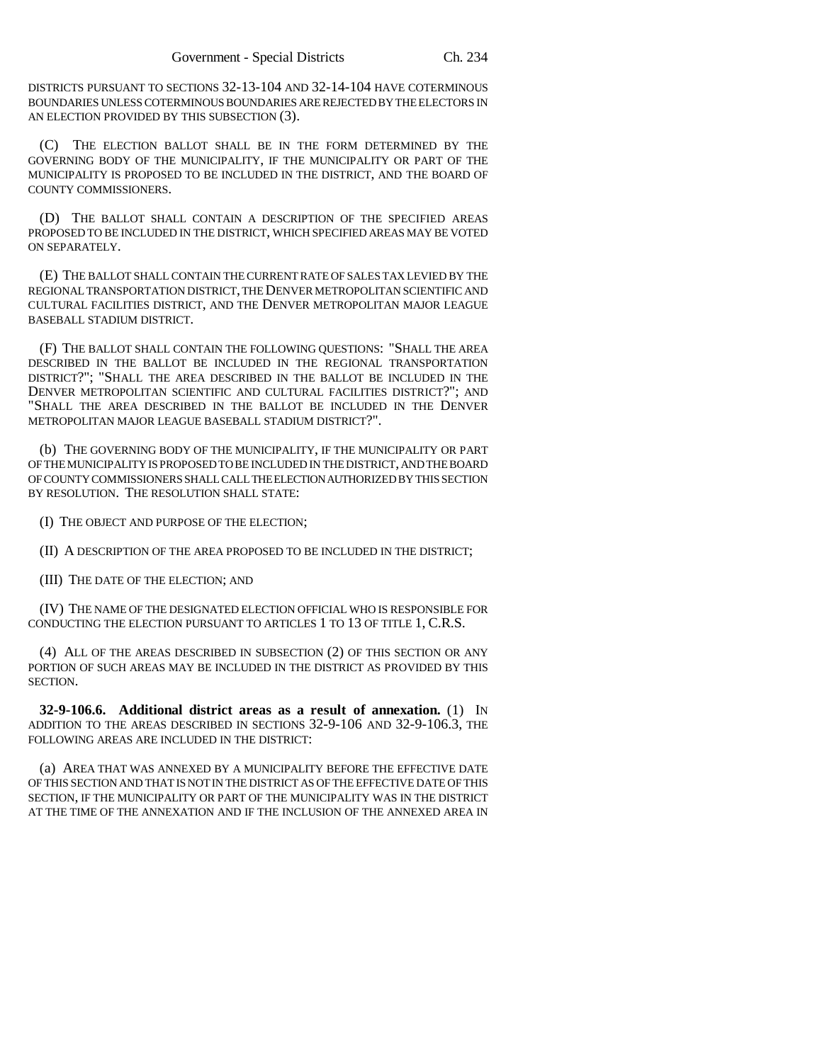DISTRICTS PURSUANT TO SECTIONS 32-13-104 AND 32-14-104 HAVE COTERMINOUS BOUNDARIES UNLESS COTERMINOUS BOUNDARIES ARE REJECTED BY THE ELECTORS IN AN ELECTION PROVIDED BY THIS SUBSECTION (3).

(C) THE ELECTION BALLOT SHALL BE IN THE FORM DETERMINED BY THE GOVERNING BODY OF THE MUNICIPALITY, IF THE MUNICIPALITY OR PART OF THE MUNICIPALITY IS PROPOSED TO BE INCLUDED IN THE DISTRICT, AND THE BOARD OF COUNTY COMMISSIONERS.

(D) THE BALLOT SHALL CONTAIN A DESCRIPTION OF THE SPECIFIED AREAS PROPOSED TO BE INCLUDED IN THE DISTRICT, WHICH SPECIFIED AREAS MAY BE VOTED ON SEPARATELY.

(E) THE BALLOT SHALL CONTAIN THE CURRENT RATE OF SALES TAX LEVIED BY THE REGIONAL TRANSPORTATION DISTRICT, THE DENVER METROPOLITAN SCIENTIFIC AND CULTURAL FACILITIES DISTRICT, AND THE DENVER METROPOLITAN MAJOR LEAGUE BASEBALL STADIUM DISTRICT.

(F) THE BALLOT SHALL CONTAIN THE FOLLOWING QUESTIONS: "SHALL THE AREA DESCRIBED IN THE BALLOT BE INCLUDED IN THE REGIONAL TRANSPORTATION DISTRICT?"; "SHALL THE AREA DESCRIBED IN THE BALLOT BE INCLUDED IN THE DENVER METROPOLITAN SCIENTIFIC AND CULTURAL FACILITIES DISTRICT?"; AND "SHALL THE AREA DESCRIBED IN THE BALLOT BE INCLUDED IN THE DENVER METROPOLITAN MAJOR LEAGUE BASEBALL STADIUM DISTRICT?".

(b) THE GOVERNING BODY OF THE MUNICIPALITY, IF THE MUNICIPALITY OR PART OF THE MUNICIPALITY IS PROPOSED TO BE INCLUDED IN THE DISTRICT, AND THE BOARD OF COUNTY COMMISSIONERS SHALL CALL THE ELECTION AUTHORIZED BY THIS SECTION BY RESOLUTION. THE RESOLUTION SHALL STATE:

(I) THE OBJECT AND PURPOSE OF THE ELECTION;

(II) A DESCRIPTION OF THE AREA PROPOSED TO BE INCLUDED IN THE DISTRICT;

(III) THE DATE OF THE ELECTION; AND

(IV) THE NAME OF THE DESIGNATED ELECTION OFFICIAL WHO IS RESPONSIBLE FOR CONDUCTING THE ELECTION PURSUANT TO ARTICLES 1 TO 13 OF TITLE 1, C.R.S.

(4) ALL OF THE AREAS DESCRIBED IN SUBSECTION (2) OF THIS SECTION OR ANY PORTION OF SUCH AREAS MAY BE INCLUDED IN THE DISTRICT AS PROVIDED BY THIS SECTION.

**32-9-106.6. Additional district areas as a result of annexation.** (1) IN ADDITION TO THE AREAS DESCRIBED IN SECTIONS 32-9-106 AND 32-9-106.3, THE FOLLOWING AREAS ARE INCLUDED IN THE DISTRICT:

(a) AREA THAT WAS ANNEXED BY A MUNICIPALITY BEFORE THE EFFECTIVE DATE OF THIS SECTION AND THAT IS NOT IN THE DISTRICT AS OF THE EFFECTIVE DATE OF THIS SECTION, IF THE MUNICIPALITY OR PART OF THE MUNICIPALITY WAS IN THE DISTRICT AT THE TIME OF THE ANNEXATION AND IF THE INCLUSION OF THE ANNEXED AREA IN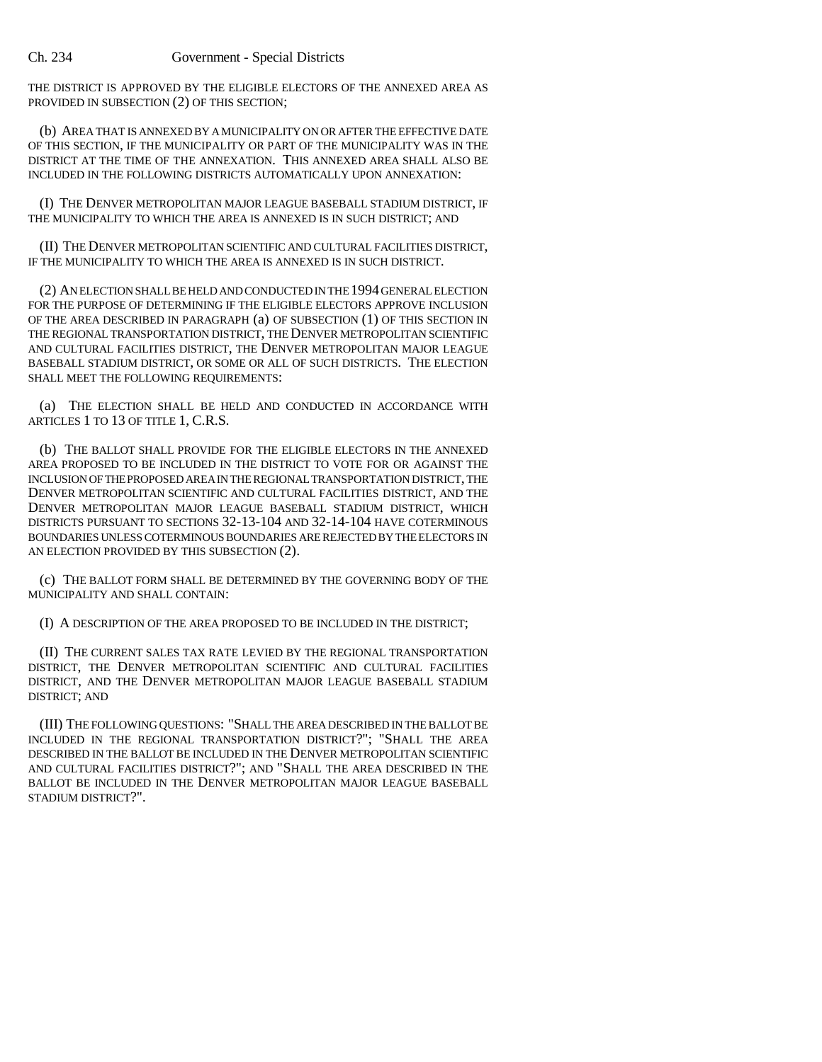THE DISTRICT IS APPROVED BY THE ELIGIBLE ELECTORS OF THE ANNEXED AREA AS PROVIDED IN SUBSECTION (2) OF THIS SECTION;

(b) AREA THAT IS ANNEXED BY A MUNICIPALITY ON OR AFTER THE EFFECTIVE DATE OF THIS SECTION, IF THE MUNICIPALITY OR PART OF THE MUNICIPALITY WAS IN THE DISTRICT AT THE TIME OF THE ANNEXATION. THIS ANNEXED AREA SHALL ALSO BE INCLUDED IN THE FOLLOWING DISTRICTS AUTOMATICALLY UPON ANNEXATION:

(I) THE DENVER METROPOLITAN MAJOR LEAGUE BASEBALL STADIUM DISTRICT, IF THE MUNICIPALITY TO WHICH THE AREA IS ANNEXED IS IN SUCH DISTRICT; AND

(II) THE DENVER METROPOLITAN SCIENTIFIC AND CULTURAL FACILITIES DISTRICT, IF THE MUNICIPALITY TO WHICH THE AREA IS ANNEXED IS IN SUCH DISTRICT.

(2) AN ELECTION SHALL BE HELD AND CONDUCTED IN THE 1994 GENERAL ELECTION FOR THE PURPOSE OF DETERMINING IF THE ELIGIBLE ELECTORS APPROVE INCLUSION OF THE AREA DESCRIBED IN PARAGRAPH (a) OF SUBSECTION (1) OF THIS SECTION IN THE REGIONAL TRANSPORTATION DISTRICT, THE DENVER METROPOLITAN SCIENTIFIC AND CULTURAL FACILITIES DISTRICT, THE DENVER METROPOLITAN MAJOR LEAGUE BASEBALL STADIUM DISTRICT, OR SOME OR ALL OF SUCH DISTRICTS. THE ELECTION SHALL MEET THE FOLLOWING REQUIREMENTS:

(a) THE ELECTION SHALL BE HELD AND CONDUCTED IN ACCORDANCE WITH ARTICLES 1 TO 13 OF TITLE 1, C.R.S.

(b) THE BALLOT SHALL PROVIDE FOR THE ELIGIBLE ELECTORS IN THE ANNEXED AREA PROPOSED TO BE INCLUDED IN THE DISTRICT TO VOTE FOR OR AGAINST THE INCLUSION OF THE PROPOSED AREA IN THE REGIONAL TRANSPORTATION DISTRICT, THE DENVER METROPOLITAN SCIENTIFIC AND CULTURAL FACILITIES DISTRICT, AND THE DENVER METROPOLITAN MAJOR LEAGUE BASEBALL STADIUM DISTRICT, WHICH DISTRICTS PURSUANT TO SECTIONS 32-13-104 AND 32-14-104 HAVE COTERMINOUS BOUNDARIES UNLESS COTERMINOUS BOUNDARIES ARE REJECTED BY THE ELECTORS IN AN ELECTION PROVIDED BY THIS SUBSECTION (2).

(c) THE BALLOT FORM SHALL BE DETERMINED BY THE GOVERNING BODY OF THE MUNICIPALITY AND SHALL CONTAIN:

(I) A DESCRIPTION OF THE AREA PROPOSED TO BE INCLUDED IN THE DISTRICT;

(II) THE CURRENT SALES TAX RATE LEVIED BY THE REGIONAL TRANSPORTATION DISTRICT, THE DENVER METROPOLITAN SCIENTIFIC AND CULTURAL FACILITIES DISTRICT, AND THE DENVER METROPOLITAN MAJOR LEAGUE BASEBALL STADIUM DISTRICT; AND

(III) THE FOLLOWING QUESTIONS: "SHALL THE AREA DESCRIBED IN THE BALLOT BE INCLUDED IN THE REGIONAL TRANSPORTATION DISTRICT?"; "SHALL THE AREA DESCRIBED IN THE BALLOT BE INCLUDED IN THE DENVER METROPOLITAN SCIENTIFIC AND CULTURAL FACILITIES DISTRICT?"; AND "SHALL THE AREA DESCRIBED IN THE BALLOT BE INCLUDED IN THE DENVER METROPOLITAN MAJOR LEAGUE BASEBALL STADIUM DISTRICT?".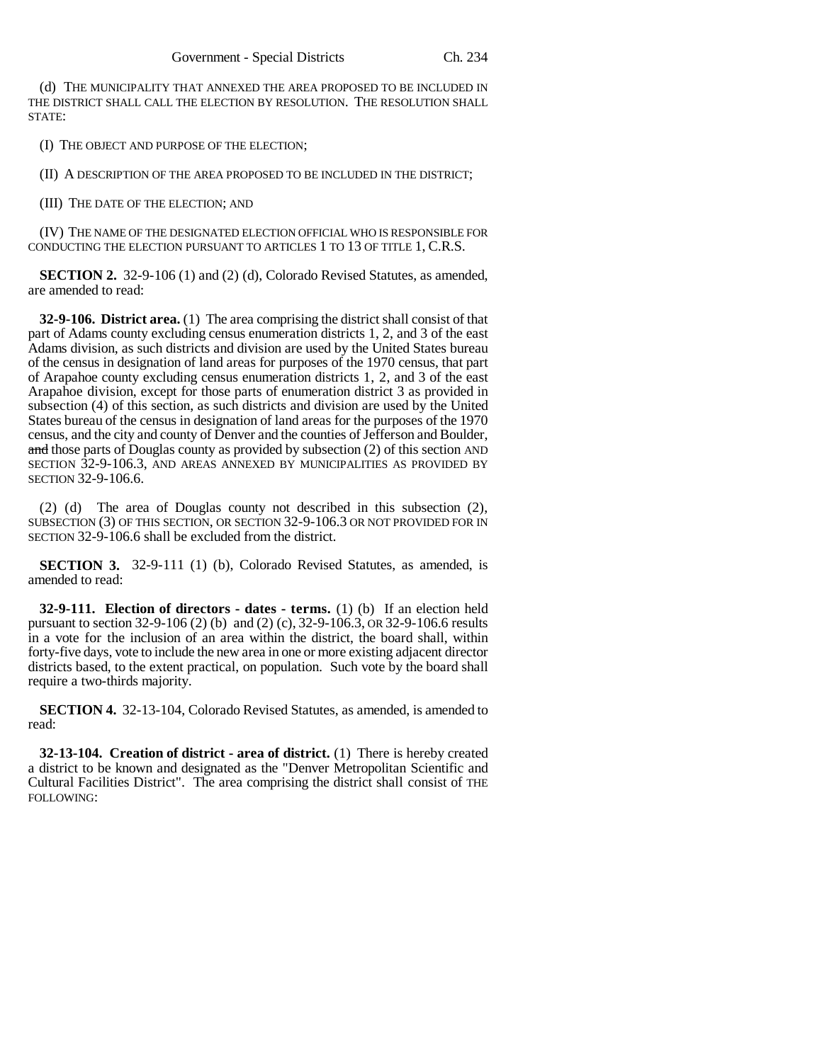(d) THE MUNICIPALITY THAT ANNEXED THE AREA PROPOSED TO BE INCLUDED IN THE DISTRICT SHALL CALL THE ELECTION BY RESOLUTION. THE RESOLUTION SHALL STATE:

(I) THE OBJECT AND PURPOSE OF THE ELECTION;

(II) A DESCRIPTION OF THE AREA PROPOSED TO BE INCLUDED IN THE DISTRICT;

(III) THE DATE OF THE ELECTION; AND

(IV) THE NAME OF THE DESIGNATED ELECTION OFFICIAL WHO IS RESPONSIBLE FOR CONDUCTING THE ELECTION PURSUANT TO ARTICLES 1 TO 13 OF TITLE 1, C.R.S.

**SECTION 2.** 32-9-106 (1) and (2) (d), Colorado Revised Statutes, as amended, are amended to read:

**32-9-106. District area.** (1) The area comprising the district shall consist of that part of Adams county excluding census enumeration districts 1, 2, and 3 of the east Adams division, as such districts and division are used by the United States bureau of the census in designation of land areas for purposes of the 1970 census, that part of Arapahoe county excluding census enumeration districts 1, 2, and 3 of the east Arapahoe division, except for those parts of enumeration district 3 as provided in subsection (4) of this section, as such districts and division are used by the United States bureau of the census in designation of land areas for the purposes of the 1970 census, and the city and county of Denver and the counties of Jefferson and Boulder, and those parts of Douglas county as provided by subsection (2) of this section AND SECTION 32-9-106.3, AND AREAS ANNEXED BY MUNICIPALITIES AS PROVIDED BY SECTION 32-9-106.6.

(2) (d) The area of Douglas county not described in this subsection (2), SUBSECTION (3) OF THIS SECTION, OR SECTION 32-9-106.3 OR NOT PROVIDED FOR IN SECTION 32-9-106.6 shall be excluded from the district.

**SECTION 3.** 32-9-111 (1) (b), Colorado Revised Statutes, as amended, is amended to read:

**32-9-111. Election of directors - dates - terms.** (1) (b) If an election held pursuant to section 32-9-106 (2) (b) and (2) (c), 32-9-106.3, OR 32-9-106.6 results in a vote for the inclusion of an area within the district, the board shall, within forty-five days, vote to include the new area in one or more existing adjacent director districts based, to the extent practical, on population. Such vote by the board shall require a two-thirds majority.

**SECTION 4.** 32-13-104, Colorado Revised Statutes, as amended, is amended to read:

**32-13-104. Creation of district - area of district.** (1) There is hereby created a district to be known and designated as the "Denver Metropolitan Scientific and Cultural Facilities District". The area comprising the district shall consist of THE FOLLOWING: